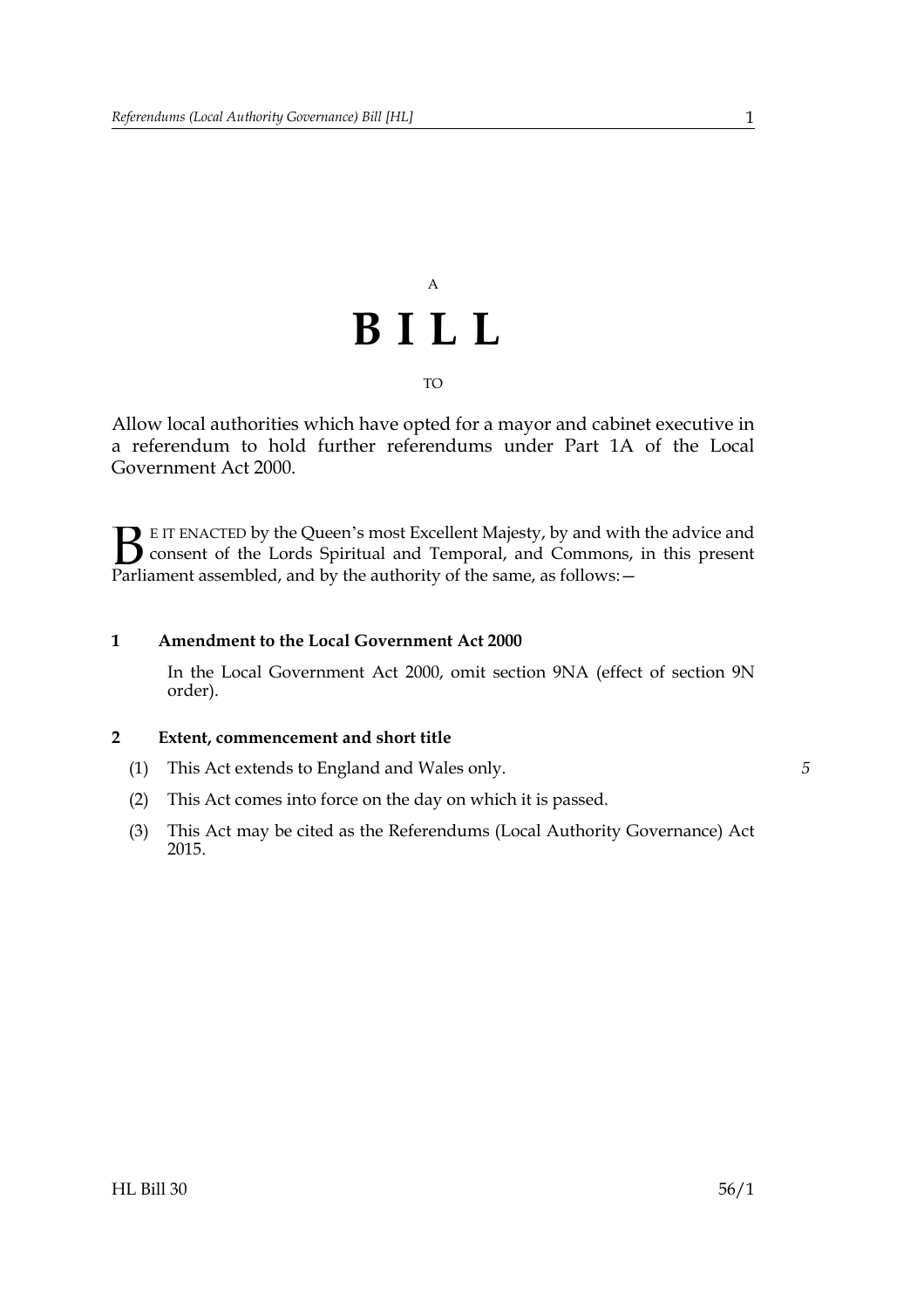## A **BILL** TO

Allow local authorities which have opted for a mayor and cabinet executive in a referendum to hold further referendums under Part 1A of the Local Government Act 2000.

E IT ENACTED by the Queen's most Excellent Majesty, by and with the advice and consent of the Lords Spiritual and Temporal, and Commons, in this present Parliament assembled, and by the authority of the same, as follows: - $B_{\text{p}}$ 

### **1 Amendment to the Local Government Act 2000**

In the Local Government Act 2000, omit section 9NA (effect of section 9N order).

#### **2 Extent, commencement and short title**

- (1) This Act extends to England and Wales only.
- (2) This Act comes into force on the day on which it is passed.
- (3) This Act may be cited as the Referendums (Local Authority Governance) Act 2015.